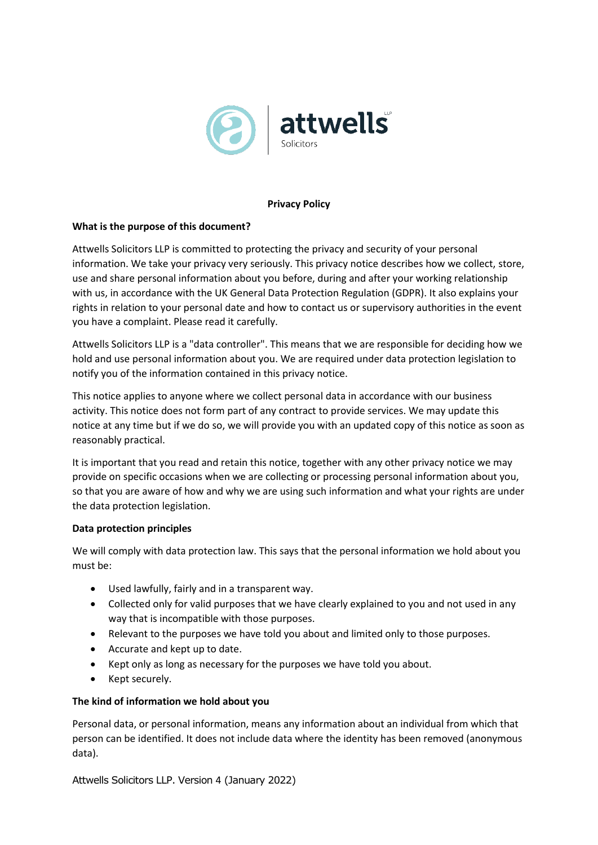

### **Privacy Policy**

#### **What is the purpose of this document?**

Attwells Solicitors LLP is committed to protecting the privacy and security of your personal information. We take your privacy very seriously. This privacy notice describes how we collect, store, use and share personal information about you before, during and after your working relationship with us, in accordance with the UK General Data Protection Regulation (GDPR). It also explains your rights in relation to your personal date and how to contact us or supervisory authorities in the event you have a complaint. Please read it carefully.

Attwells Solicitors LLP is a "data controller". This means that we are responsible for deciding how we hold and use personal information about you. We are required under data protection legislation to notify you of the information contained in this privacy notice.

This notice applies to anyone where we collect personal data in accordance with our business activity. This notice does not form part of any contract to provide services. We may update this notice at any time but if we do so, we will provide you with an updated copy of this notice as soon as reasonably practical.

It is important that you read and retain this notice, together with any other privacy notice we may provide on specific occasions when we are collecting or processing personal information about you, so that you are aware of how and why we are using such information and what your rights are under the data protection legislation.

## **Data protection principles**

We will comply with data protection law. This says that the personal information we hold about you must be:

- Used lawfully, fairly and in a transparent way.
- Collected only for valid purposes that we have clearly explained to you and not used in any way that is incompatible with those purposes.
- Relevant to the purposes we have told you about and limited only to those purposes.
- Accurate and kept up to date.
- Kept only as long as necessary for the purposes we have told you about.
- Kept securely.

#### **The kind of information we hold about you**

Personal data, or personal information, means any information about an individual from which that person can be identified. It does not include data where the identity has been removed (anonymous data).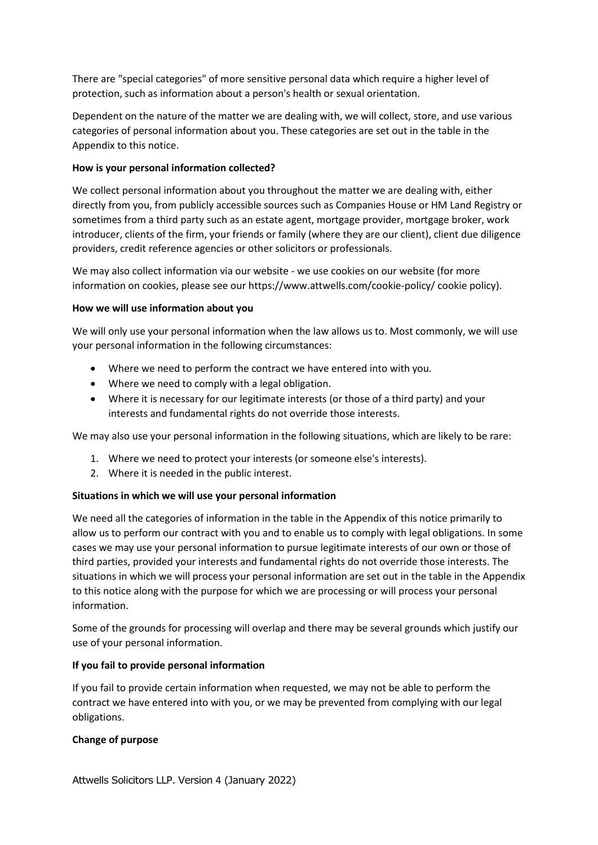There are "special categories" of more sensitive personal data which require a higher level of protection, such as information about a person's health or sexual orientation.

Dependent on the nature of the matter we are dealing with, we will collect, store, and use various categories of personal information about you. These categories are set out in the table in the Appendix to this notice.

## **How is your personal information collected?**

We collect personal information about you throughout the matter we are dealing with, either directly from you, from publicly accessible sources such as Companies House or HM Land Registry or sometimes from a third party such as an estate agent, mortgage provider, mortgage broker, work introducer, clients of the firm, your friends or family (where they are our client), client due diligence providers, credit reference agencies or other solicitors or professionals.

We may also collect information via our website - we use cookies on our website (for more information on cookies, please see our https://www.attwells.com/cookie-policy/ cookie policy).

## **How we will use information about you**

We will only use your personal information when the law allows us to. Most commonly, we will use your personal information in the following circumstances:

- Where we need to perform the contract we have entered into with you.
- Where we need to comply with a legal obligation.
- Where it is necessary for our legitimate interests (or those of a third party) and your interests and fundamental rights do not override those interests.

We may also use your personal information in the following situations, which are likely to be rare:

- 1. Where we need to protect your interests (or someone else's interests).
- 2. Where it is needed in the public interest.

## **Situations in which we will use your personal information**

We need all the categories of information in the table in the Appendix of this notice primarily to allow us to perform our contract with you and to enable us to comply with legal obligations. In some cases we may use your personal information to pursue legitimate interests of our own or those of third parties, provided your interests and fundamental rights do not override those interests. The situations in which we will process your personal information are set out in the table in the Appendix to this notice along with the purpose for which we are processing or will process your personal information.

Some of the grounds for processing will overlap and there may be several grounds which justify our use of your personal information.

# **If you fail to provide personal information**

If you fail to provide certain information when requested, we may not be able to perform the contract we have entered into with you, or we may be prevented from complying with our legal obligations.

## **Change of purpose**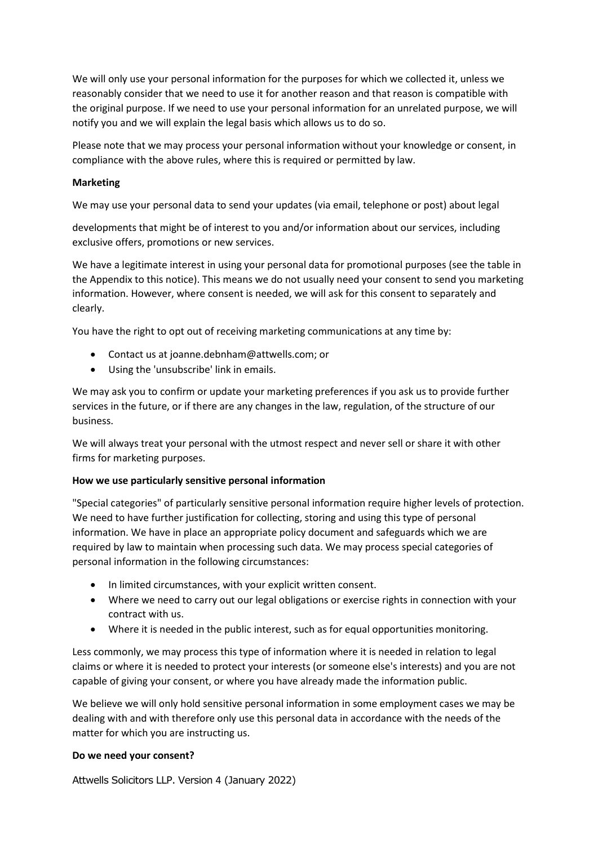We will only use your personal information for the purposes for which we collected it, unless we reasonably consider that we need to use it for another reason and that reason is compatible with the original purpose. If we need to use your personal information for an unrelated purpose, we will notify you and we will explain the legal basis which allows us to do so.

Please note that we may process your personal information without your knowledge or consent, in compliance with the above rules, where this is required or permitted by law.

## **Marketing**

We may use your personal data to send your updates (via email, telephone or post) about legal

developments that might be of interest to you and/or information about our services, including exclusive offers, promotions or new services.

We have a legitimate interest in using your personal data for promotional purposes (see the table in the Appendix to this notice). This means we do not usually need your consent to send you marketing information. However, where consent is needed, we will ask for this consent to separately and clearly.

You have the right to opt out of receiving marketing communications at any time by:

- Contact us at joanne.debnham@attwells.com; or
- Using the 'unsubscribe' link in emails.

We may ask you to confirm or update your marketing preferences if you ask us to provide further services in the future, or if there are any changes in the law, regulation, of the structure of our business.

We will always treat your personal with the utmost respect and never sell or share it with other firms for marketing purposes.

## **How we use particularly sensitive personal information**

"Special categories" of particularly sensitive personal information require higher levels of protection. We need to have further justification for collecting, storing and using this type of personal information. We have in place an appropriate policy document and safeguards which we are required by law to maintain when processing such data. We may process special categories of personal information in the following circumstances:

- In limited circumstances, with your explicit written consent.
- Where we need to carry out our legal obligations or exercise rights in connection with your contract with us.
- Where it is needed in the public interest, such as for equal opportunities monitoring.

Less commonly, we may process this type of information where it is needed in relation to legal claims or where it is needed to protect your interests (or someone else's interests) and you are not capable of giving your consent, or where you have already made the information public.

We believe we will only hold sensitive personal information in some employment cases we may be dealing with and with therefore only use this personal data in accordance with the needs of the matter for which you are instructing us.

## **Do we need your consent?**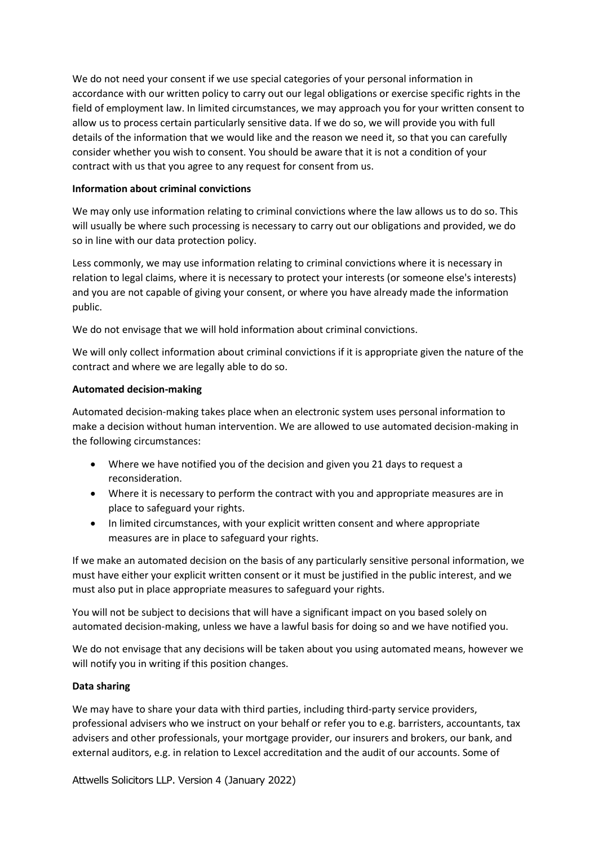We do not need your consent if we use special categories of your personal information in accordance with our written policy to carry out our legal obligations or exercise specific rights in the field of employment law. In limited circumstances, we may approach you for your written consent to allow us to process certain particularly sensitive data. If we do so, we will provide you with full details of the information that we would like and the reason we need it, so that you can carefully consider whether you wish to consent. You should be aware that it is not a condition of your contract with us that you agree to any request for consent from us.

## **Information about criminal convictions**

We may only use information relating to criminal convictions where the law allows us to do so. This will usually be where such processing is necessary to carry out our obligations and provided, we do so in line with our data protection policy.

Less commonly, we may use information relating to criminal convictions where it is necessary in relation to legal claims, where it is necessary to protect your interests (or someone else's interests) and you are not capable of giving your consent, or where you have already made the information public.

We do not envisage that we will hold information about criminal convictions.

We will only collect information about criminal convictions if it is appropriate given the nature of the contract and where we are legally able to do so.

## **Automated decision-making**

Automated decision-making takes place when an electronic system uses personal information to make a decision without human intervention. We are allowed to use automated decision-making in the following circumstances:

- Where we have notified you of the decision and given you 21 days to request a reconsideration.
- Where it is necessary to perform the contract with you and appropriate measures are in place to safeguard your rights.
- In limited circumstances, with your explicit written consent and where appropriate measures are in place to safeguard your rights.

If we make an automated decision on the basis of any particularly sensitive personal information, we must have either your explicit written consent or it must be justified in the public interest, and we must also put in place appropriate measures to safeguard your rights.

You will not be subject to decisions that will have a significant impact on you based solely on automated decision-making, unless we have a lawful basis for doing so and we have notified you.

We do not envisage that any decisions will be taken about you using automated means, however we will notify you in writing if this position changes.

# **Data sharing**

We may have to share your data with third parties, including third-party service providers, professional advisers who we instruct on your behalf or refer you to e.g. barristers, accountants, tax advisers and other professionals, your mortgage provider, our insurers and brokers, our bank, and external auditors, e.g. in relation to Lexcel accreditation and the audit of our accounts. Some of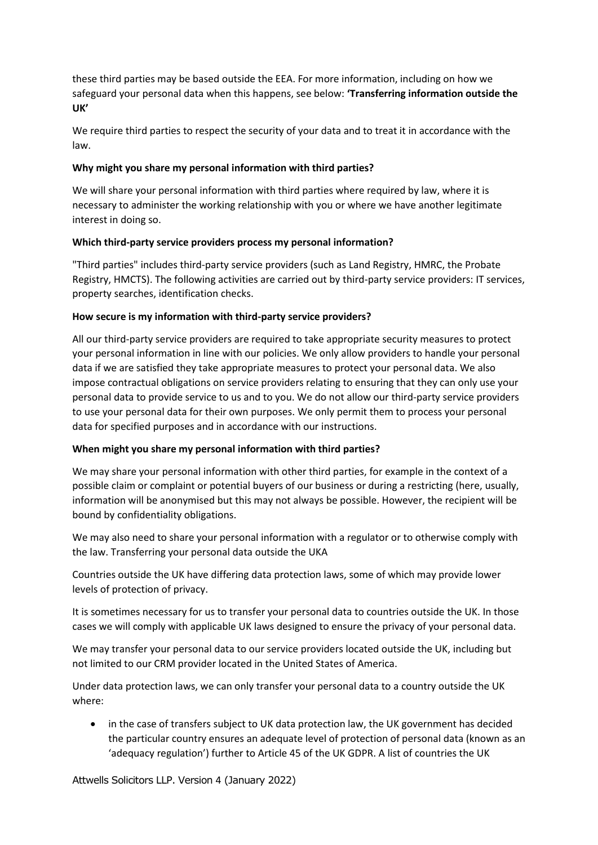these third parties may be based outside the EEA. For more information, including on how we safeguard your personal data when this happens, see below: **'Transferring information outside the UK'**

We require third parties to respect the security of your data and to treat it in accordance with the law.

## **Why might you share my personal information with third parties?**

We will share your personal information with third parties where required by law, where it is necessary to administer the working relationship with you or where we have another legitimate interest in doing so.

## **Which third-party service providers process my personal information?**

"Third parties" includes third-party service providers (such as Land Registry, HMRC, the Probate Registry, HMCTS). The following activities are carried out by third-party service providers: IT services, property searches, identification checks.

## **How secure is my information with third-party service providers?**

All our third-party service providers are required to take appropriate security measures to protect your personal information in line with our policies. We only allow providers to handle your personal data if we are satisfied they take appropriate measures to protect your personal data. We also impose contractual obligations on service providers relating to ensuring that they can only use your personal data to provide service to us and to you. We do not allow our third-party service providers to use your personal data for their own purposes. We only permit them to process your personal data for specified purposes and in accordance with our instructions.

# **When might you share my personal information with third parties?**

We may share your personal information with other third parties, for example in the context of a possible claim or complaint or potential buyers of our business or during a restricting (here, usually, information will be anonymised but this may not always be possible. However, the recipient will be bound by confidentiality obligations.

We may also need to share your personal information with a regulator or to otherwise comply with the law. Transferring your personal data outside the UKA

Countries outside the UK have differing data protection laws, some of which may provide lower levels of protection of privacy.

It is sometimes necessary for us to transfer your personal data to countries outside the UK. In those cases we will comply with applicable UK laws designed to ensure the privacy of your personal data.

We may transfer your personal data to our service providers located outside the UK, including but not limited to our CRM provider located in the United States of America.

Under data protection laws, we can only transfer your personal data to a country outside the UK where:

• in the case of transfers subject to UK data protection law, the UK government has decided the particular country ensures an adequate level of protection of personal data (known as an 'adequacy regulation') further to Article 45 of the UK GDPR. A list of countries the UK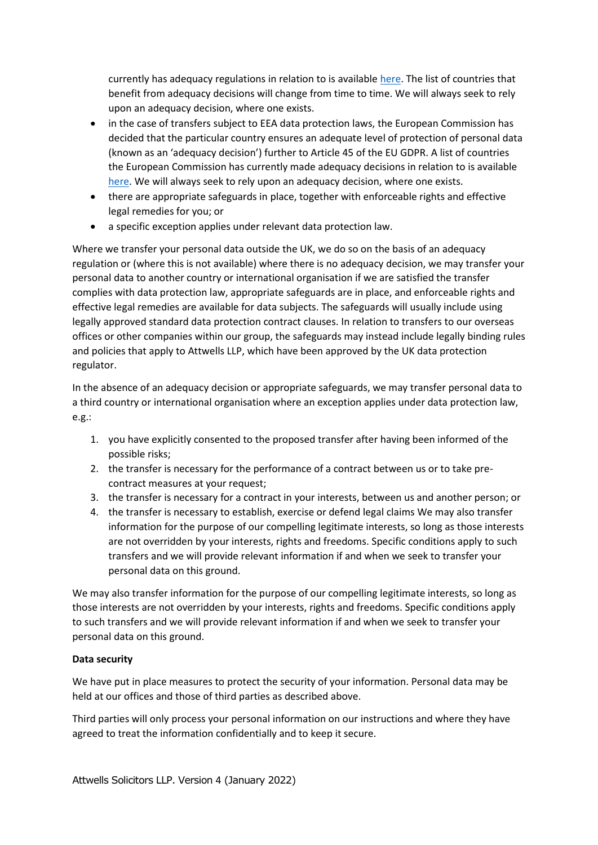currently has adequacy regulations in relation to is availabl[e here.](https://ico.org.uk/for-organisations/guide-to-data-protection/guide-to-the-general-data-protection-regulation-gdpr/international-transfers-after-uk-exit/#adequacy) The list of countries that benefit from adequacy decisions will change from time to time. We will always seek to rely upon an adequacy decision, where one exists.

- in the case of transfers subject to EEA data protection laws, the European Commission has decided that the particular country ensures an adequate level of protection of personal data (known as an 'adequacy decision') further to Article 45 of the EU GDPR. A list of countries the European Commission has currently made adequacy decisions in relation to is available [here.](https://ec.europa.eu/info/law/law-topic/data-protection/international-dimension-data-protection/adequacy-decisions_en) We will always seek to rely upon an adequacy decision, where one exists.
- there are appropriate safeguards in place, together with enforceable rights and effective legal remedies for you; or
- a specific exception applies under relevant data protection law.

Where we transfer your personal data outside the UK, we do so on the basis of an adequacy regulation or (where this is not available) where there is no adequacy decision, we may transfer your personal data to another country or international organisation if we are satisfied the transfer complies with data protection law, appropriate safeguards are in place, and enforceable rights and effective legal remedies are available for data subjects. The safeguards will usually include using legally approved standard data protection contract clauses. In relation to transfers to our overseas offices or other companies within our group, the safeguards may instead include legally binding rules and policies that apply to Attwells LLP, which have been approved by the UK data protection regulator.

In the absence of an adequacy decision or appropriate safeguards, we may transfer personal data to a third country or international organisation where an exception applies under data protection law, e.g.:

- 1. you have explicitly consented to the proposed transfer after having been informed of the possible risks;
- 2. the transfer is necessary for the performance of a contract between us or to take precontract measures at your request;
- 3. the transfer is necessary for a contract in your interests, between us and another person; or
- 4. the transfer is necessary to establish, exercise or defend legal claims We may also transfer information for the purpose of our compelling legitimate interests, so long as those interests are not overridden by your interests, rights and freedoms. Specific conditions apply to such transfers and we will provide relevant information if and when we seek to transfer your personal data on this ground.

We may also transfer information for the purpose of our compelling legitimate interests, so long as those interests are not overridden by your interests, rights and freedoms. Specific conditions apply to such transfers and we will provide relevant information if and when we seek to transfer your personal data on this ground.

# **Data security**

We have put in place measures to protect the security of your information. Personal data may be held at our offices and those of third parties as described above.

Third parties will only process your personal information on our instructions and where they have agreed to treat the information confidentially and to keep it secure.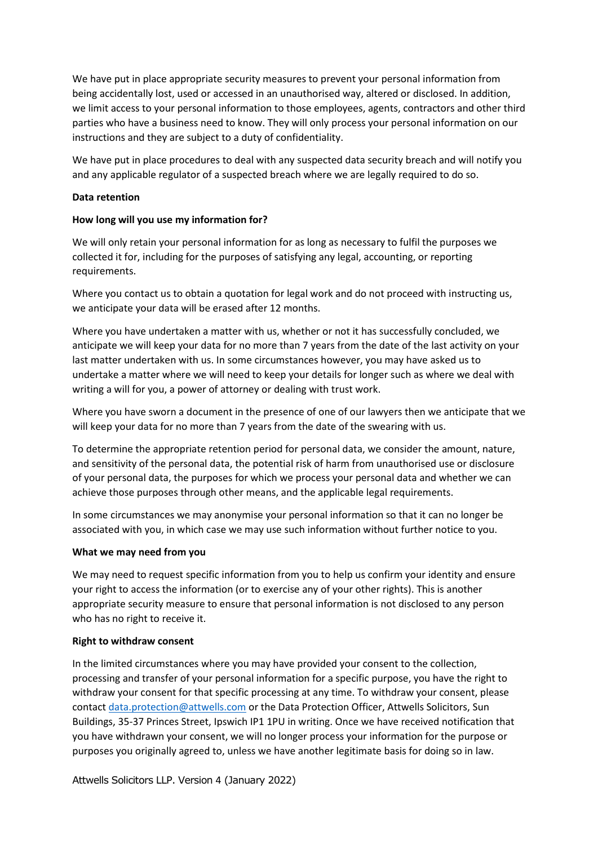We have put in place appropriate security measures to prevent your personal information from being accidentally lost, used or accessed in an unauthorised way, altered or disclosed. In addition, we limit access to your personal information to those employees, agents, contractors and other third parties who have a business need to know. They will only process your personal information on our instructions and they are subject to a duty of confidentiality.

We have put in place procedures to deal with any suspected data security breach and will notify you and any applicable regulator of a suspected breach where we are legally required to do so.

### **Data retention**

#### **How long will you use my information for?**

We will only retain your personal information for as long as necessary to fulfil the purposes we collected it for, including for the purposes of satisfying any legal, accounting, or reporting requirements.

Where you contact us to obtain a quotation for legal work and do not proceed with instructing us, we anticipate your data will be erased after 12 months.

Where you have undertaken a matter with us, whether or not it has successfully concluded, we anticipate we will keep your data for no more than 7 years from the date of the last activity on your last matter undertaken with us. In some circumstances however, you may have asked us to undertake a matter where we will need to keep your details for longer such as where we deal with writing a will for you, a power of attorney or dealing with trust work.

Where you have sworn a document in the presence of one of our lawyers then we anticipate that we will keep your data for no more than 7 years from the date of the swearing with us.

To determine the appropriate retention period for personal data, we consider the amount, nature, and sensitivity of the personal data, the potential risk of harm from unauthorised use or disclosure of your personal data, the purposes for which we process your personal data and whether we can achieve those purposes through other means, and the applicable legal requirements.

In some circumstances we may anonymise your personal information so that it can no longer be associated with you, in which case we may use such information without further notice to you.

#### **What we may need from you**

We may need to request specific information from you to help us confirm your identity and ensure your right to access the information (or to exercise any of your other rights). This is another appropriate security measure to ensure that personal information is not disclosed to any person who has no right to receive it.

#### **Right to withdraw consent**

In the limited circumstances where you may have provided your consent to the collection, processing and transfer of your personal information for a specific purpose, you have the right to withdraw your consent for that specific processing at any time. To withdraw your consent, please contact [data.protection@attwells.com](mailto:data.protection@attwells.com) or the Data Protection Officer, Attwells Solicitors, Sun Buildings, 35-37 Princes Street, Ipswich IP1 1PU in writing. Once we have received notification that you have withdrawn your consent, we will no longer process your information for the purpose or purposes you originally agreed to, unless we have another legitimate basis for doing so in law.